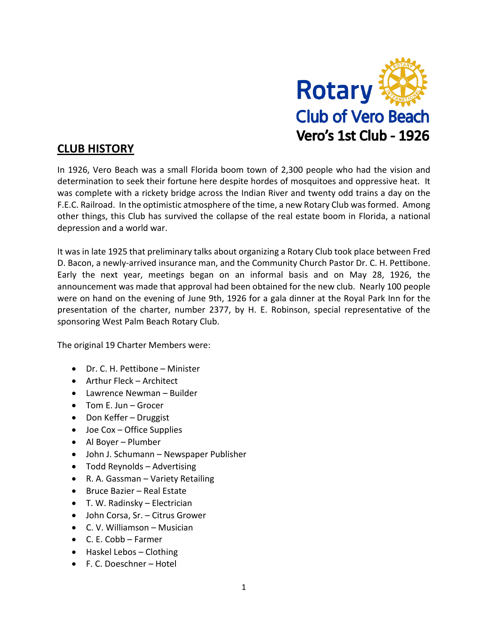

## **CLUB HISTORY**

In 1926, Vero Beach was a small Florida boom town of 2,300 people who had the vision and determination to seek their fortune here despite hordes of mosquitoes and oppressive heat. It was complete with a rickety bridge across the Indian River and twenty odd trains a day on the F.E.C. Railroad. In the optimistic atmosphere of the time, a new Rotary Club was formed. Among other things, this Club has survived the collapse of the real estate boom in Florida, a national depression and a world war.

It was in late 1925 that preliminary talks about organizing a Rotary Club took place between Fred D. Bacon, a newly-arrived insurance man, and the Community Church Pastor Dr. C. H. Pettibone. Early the next year, meetings began on an informal basis and on May 28, 1926, the announcement was made that approval had been obtained for the new club. Nearly 100 people were on hand on the evening of June 9th, 1926 for a gala dinner at the Royal Park Inn for the presentation of the charter, number 2377, by H. E. Robinson, special representative of the sponsoring West Palm Beach Rotary Club.

The original 19 Charter Members were:

- Dr. C. H. Pettibone Minister
- Arthur Fleck Architect
- Lawrence Newman Builder
- Tom E. Jun Grocer
- Don Keffer Druggist
- Joe Cox Office Supplies
- Al Boyer Plumber
- John J. Schumann Newspaper Publisher
- Todd Reynolds Advertising
- R. A. Gassman Variety Retailing
- Bruce Bazier Real Estate
- T. W. Radinsky Electrician
- John Corsa, Sr. Citrus Grower
- C. V. Williamson Musician
- C. E. Cobb Farmer
- Haskel Lebos Clothing
- F. C. Doeschner Hotel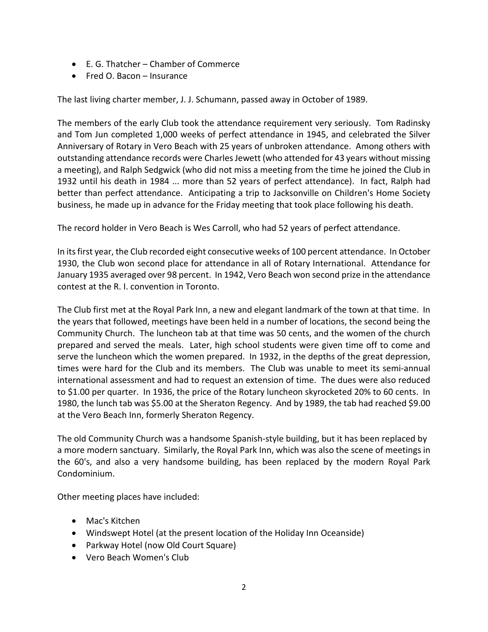- E. G. Thatcher Chamber of Commerce
- Fred O. Bacon Insurance

The last living charter member, J. J. Schumann, passed away in October of 1989.

The members of the early Club took the attendance requirement very seriously. Tom Radinsky and Tom Jun completed 1,000 weeks of perfect attendance in 1945, and celebrated the Silver Anniversary of Rotary in Vero Beach with 25 years of unbroken attendance. Among others with outstanding attendance records were Charles Jewett (who attended for 43 years without missing a meeting), and Ralph Sedgwick (who did not miss a meeting from the time he joined the Club in 1932 until his death in 1984 ... more than 52 years of perfect attendance). In fact, Ralph had better than perfect attendance. Anticipating a trip to Jacksonville on Children's Home Society business, he made up in advance for the Friday meeting that took place following his death.

The record holder in Vero Beach is Wes Carroll, who had 52 years of perfect attendance.

In its first year, the Club recorded eight consecutive weeks of 100 percent attendance. In October 1930, the Club won second place for attendance in all of Rotary International. Attendance for January 1935 averaged over 98 percent. In 1942, Vero Beach won second prize in the attendance contest at the R. I. convention in Toronto.

The Club first met at the Royal Park Inn, a new and elegant landmark of the town at that time. In the years that followed, meetings have been held in a number of locations, the second being the Community Church. The luncheon tab at that time was 50 cents, and the women of the church prepared and served the meals. Later, high school students were given time off to come and serve the luncheon which the women prepared. In 1932, in the depths of the great depression, times were hard for the Club and its members. The Club was unable to meet its semi-annual international assessment and had to request an extension of time. The dues were also reduced to \$1.00 per quarter. In 1936, the price of the Rotary luncheon skyrocketed 20% to 60 cents. In 1980, the lunch tab was \$5.00 at the Sheraton Regency. And by 1989, the tab had reached \$9.00 at the Vero Beach Inn, formerly Sheraton Regency.

The old Community Church was a handsome Spanish-style building, but it has been replaced by a more modern sanctuary. Similarly, the Royal Park Inn, which was also the scene of meetings in the 60's, and also a very handsome building, has been replaced by the modern Royal Park Condominium.

Other meeting places have included:

- Mac's Kitchen
- Windswept Hotel (at the present location of the Holiday Inn Oceanside)
- Parkway Hotel (now Old Court Square)
- Vero Beach Women's Club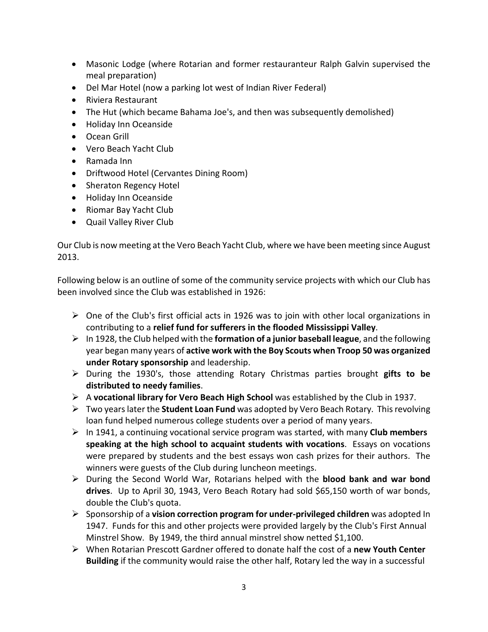- Masonic Lodge (where Rotarian and former restauranteur Ralph Galvin supervised the meal preparation)
- Del Mar Hotel (now a parking lot west of Indian River Federal)
- Riviera Restaurant
- The Hut (which became Bahama Joe's, and then was subsequently demolished)
- Holiday Inn Oceanside
- Ocean Grill
- Vero Beach Yacht Club
- Ramada Inn
- Driftwood Hotel (Cervantes Dining Room)
- Sheraton Regency Hotel
- Holiday Inn Oceanside
- Riomar Bay Yacht Club
- Quail Valley River Club

Our Club is now meeting at the Vero Beach Yacht Club, where we have been meeting since August 2013.

Following below is an outline of some of the community service projects with which our Club has been involved since the Club was established in 1926:

- $\triangleright$  One of the Club's first official acts in 1926 was to join with other local organizations in contributing to a **relief fund for sufferers in the flooded Mississippi Valley**.
- In 1928, the Club helped with the **formation of a junior baseball league**, and the following year began many years of **active work with the Boy Scouts when Troop 50 was organized under Rotary sponsorship** and leadership.
- During the 1930's, those attending Rotary Christmas parties brought **gifts to be distributed to needy families**.
- A **vocational library for Vero Beach High School** was established by the Club in 1937.
- Two years later the **Student Loan Fund** was adopted by Vero Beach Rotary. This revolving loan fund helped numerous college students over a period of many years.
- $\triangleright$  In 1941, a continuing vocational service program was started, with many **Club members speaking at the high school to acquaint students with vocations**. Essays on vocations were prepared by students and the best essays won cash prizes for their authors. The winners were guests of the Club during luncheon meetings.
- During the Second World War, Rotarians helped with the **blood bank and war bond drives**. Up to April 30, 1943, Vero Beach Rotary had sold \$65,150 worth of war bonds, double the Club's quota.
- Sponsorship of a **vision correction program for under-privileged children** was adopted In 1947. Funds for this and other projects were provided largely by the Club's First Annual Minstrel Show. By 1949, the third annual minstrel show netted \$1,100.
- When Rotarian Prescott Gardner offered to donate half the cost of a **new Youth Center Building** if the community would raise the other half, Rotary led the way in a successful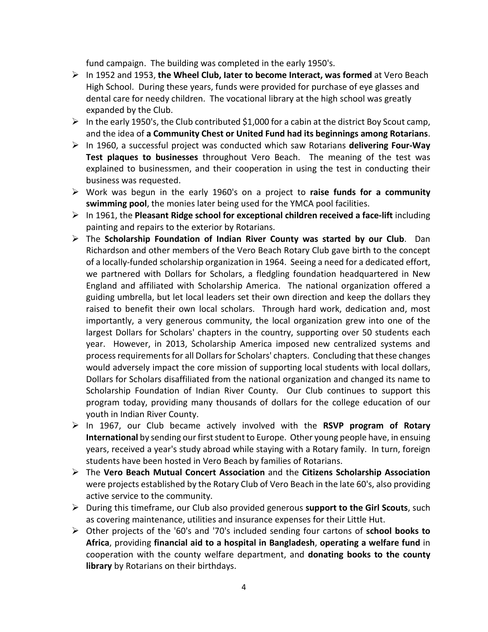fund campaign. The building was completed in the early 1950's.

- In 1952 and 1953, **the Wheel Club, Iater to become Interact, was formed** at Vero Beach High School. During these years, funds were provided for purchase of eye glasses and dental care for needy children. The vocational library at the high school was greatly expanded by the Club.
- $\triangleright$  In the early 1950's, the Club contributed \$1,000 for a cabin at the district Boy Scout camp, and the idea of **a Community Chest or United Fund had its beginnings among Rotarians**.
- In 1960, a successful project was conducted which saw Rotarians **delivering Four-Way Test plaques to businesses** throughout Vero Beach. The meaning of the test was explained to businessmen, and their cooperation in using the test in conducting their business was requested.
- Work was begun in the early 1960's on a project to **raise funds for a community swimming pool**, the monies later being used for the YMCA pool facilities.
- In 1961, the **Pleasant Ridge school for exceptional children received a face-lift** including painting and repairs to the exterior by Rotarians.
- The **Scholarship Foundation of Indian River County was started by our Club**. Dan Richardson and other members of the Vero Beach Rotary Club gave birth to the concept of a locally-funded scholarship organization in 1964. Seeing a need for a dedicated effort, we partnered with Dollars for Scholars, a fledgling foundation headquartered in New England and affiliated with Scholarship America. The national organization offered a guiding umbrella, but let local leaders set their own direction and keep the dollars they raised to benefit their own local scholars. Through hard work, dedication and, most importantly, a very generous community, the local organization grew into one of the largest Dollars for Scholars' chapters in the country, supporting over 50 students each year. However, in 2013, Scholarship America imposed new centralized systems and process requirements for all Dollars for Scholars' chapters. Concluding that these changes would adversely impact the core mission of supporting local students with local dollars, Dollars for Scholars disaffiliated from the national organization and changed its name to Scholarship Foundation of Indian River County. Our Club continues to support this program today, providing many thousands of dollars for the college education of our youth in Indian River County.
- In 1967, our Club became actively involved with the **RSVP program of Rotary International** by sending ourfirst student to Europe. Other young people have, in ensuing years, received a year's study abroad while staying with a Rotary family. In turn, foreign students have been hosted in Vero Beach by families of Rotarians.
- The **Vero Beach Mutual Concert Association** and the **Citizens Scholarship Association** were projects established by the Rotary Club of Vero Beach in the late 60's, also providing active service to the community.
- During this timeframe, our Club also provided generous **support to the Girl Scouts**, such as covering maintenance, utilities and insurance expenses for their Little Hut.
- Other projects of the '60's and '70's included sending four cartons of **school books to Africa**, providing **financial aid to a hospital in Bangladesh**, **operating a welfare fund** in cooperation with the county welfare department, and **donating books to the county library** by Rotarians on their birthdays.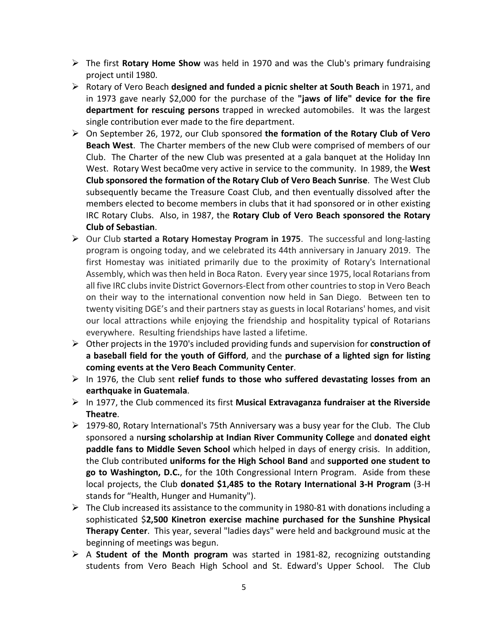- The first **Rotary Home Show** was held in 1970 and was the Club's primary fundraising project until 1980.
- Rotary of Vero Beach **designed and funded a picnic shelter at South Beach** in 1971, and in 1973 gave nearly \$2,000 for the purchase of the **"jaws of life" device for the fire department for rescuing persons** trapped in wrecked automobiles. It was the largest single contribution ever made to the fire department.
- On September 26, 1972, our Club sponsored **the formation of the Rotary Club of Vero Beach West**. The Charter members of the new Club were comprised of members of our Club. The Charter of the new Club was presented at a gala banquet at the Holiday Inn West. Rotary West beca0me very active in service to the community. In 1989, the **West Club sponsored the formation of the Rotary Club of Vero Beach Sunrise**. The West Club subsequently became the Treasure Coast Club, and then eventually dissolved after the members elected to become members in clubs that it had sponsored or in other existing IRC Rotary Clubs. Also, in 1987, the **Rotary Club of Vero Beach sponsored the Rotary Club of Sebastian**.
- Our Club **started a Rotary Homestay Program in 1975**. The successful and long-lasting program is ongoing today, and we celebrated its 44th anniversary in January 2019. The first Homestay was initiated primarily due to the proximity of Rotary's International Assembly, which was then held in Boca Raton. Every year since 1975, local Rotarians from all five IRC clubs invite District Governors-Elect from other countries to stop in Vero Beach on their way to the international convention now held in San Diego. Between ten to twenty visiting DGE's and their partners stay as guests in local Rotarians' homes, and visit our local attractions while enjoying the friendship and hospitality typical of Rotarians everywhere. Resulting friendships have lasted a lifetime.
- Other projects in the 1970's included providing funds and supervision for **construction of a baseball field for the youth of Gifford**, and the **purchase of a lighted sign for listing coming events at the Vero Beach Community Center**.
- In 1976, the Club sent **relief funds to those who suffered devastating losses from an earthquake in Guatemala**.
- In 1977, the Club commenced its first **Musical Extravaganza fundraiser at the Riverside Theatre**.
- $\triangleright$  1979-80, Rotary International's 75th Anniversary was a busy year for the Club. The Club sponsored a n**ursing scholarship at Indian River Community College** and **donated eight paddle fans to Middle Seven School** which helped in days of energy crisis. In addition, the Club contributed **uniforms for the High School Band** and **supported one student to go to Washington, D.C.**, for the 10th Congressional Intern Program. Aside from these local projects, the Club **donated \$1,485 to the Rotary International 3-H Program** (3-H stands for "Health, Hunger and Humanity").
- $\triangleright$  The Club increased its assistance to the community in 1980-81 with donations including a sophisticated \$**2,500 Kinetron exercise machine purchased for the Sunshine Physical Therapy Center**. This year, several "ladies days" were held and background music at the beginning of meetings was begun.
- A **Student of the Month program** was started in 1981-82, recognizing outstanding students from Vero Beach High School and St. Edward's Upper School. The Club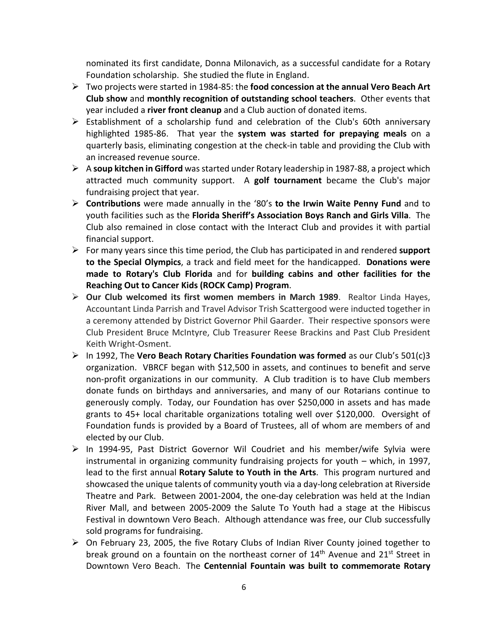nominated its first candidate, Donna Milonavich, as a successful candidate for a Rotary Foundation scholarship. She studied the flute in England.

- Two projects were started in 1984-85: the **food concession at the annual Vero Beach Art Club show** and **monthly recognition of outstanding school teachers**. Other events that year included a **river front cleanup** and a Club auction of donated items.
- $\triangleright$  Establishment of a scholarship fund and celebration of the Club's 60th anniversary highlighted 1985-86. That year the **system was started for prepaying meals** on a quarterly basis, eliminating congestion at the check-in table and providing the Club with an increased revenue source.
- A **soup kitchen in Gifford** was started under Rotary leadership in 1987-88, a project which attracted much community support. A **golf tournament** became the Club's major fundraising project that year.
- **Contributions** were made annually in the '80's **to the Irwin Waite Penny Fund** and to youth facilities such as the **Florida Sheriff's Association Boys Ranch and Girls Villa**. The Club also remained in close contact with the Interact Club and provides it with partial financial support.
- For many years since this time period, the Club has participated in and rendered **support to the Special Olympics**, a track and field meet for the handicapped. **Donations were made to Rotary's Club Florida** and for **building cabins and other facilities for the Reaching Out to Cancer Kids (ROCK Camp) Program**.
- **Our Club welcomed its first women members in March 1989**. Realtor Linda Hayes, Accountant Linda Parrish and Travel Advisor Trish Scattergood were inducted together in a ceremony attended by District Governor Phil Gaarder. Their respective sponsors were Club President Bruce McIntyre, Club Treasurer Reese Brackins and Past Club President Keith Wright-Osment.
- In 1992, The **Vero Beach Rotary Charities Foundation was formed** as our Club's 501(c)3 organization. VBRCF began with \$12,500 in assets, and continues to benefit and serve non-profit organizations in our community. A Club tradition is to have Club members donate funds on birthdays and anniversaries, and many of our Rotarians continue to generously comply. Today, our Foundation has over \$250,000 in assets and has made grants to 45+ local charitable organizations totaling well over \$120,000. Oversight of Foundation funds is provided by a Board of Trustees, all of whom are members of and elected by our Club.
- $\triangleright$  In 1994-95, Past District Governor Wil Coudriet and his member/wife Sylvia were instrumental in organizing community fundraising projects for youth – which, in 1997, lead to the first annual **Rotary Salute to Youth in the Arts**. This program nurtured and showcased the unique talents of community youth via a day-long celebration at Riverside Theatre and Park. Between 2001-2004, the one-day celebration was held at the Indian River Mall, and between 2005-2009 the Salute To Youth had a stage at the Hibiscus Festival in downtown Vero Beach. Although attendance was free, our Club successfully sold programs for fundraising.
- $\triangleright$  On February 23, 2005, the five Rotary Clubs of Indian River County joined together to break ground on a fountain on the northeast corner of  $14<sup>th</sup>$  Avenue and  $21<sup>st</sup>$  Street in Downtown Vero Beach. The **Centennial Fountain was built to commemorate Rotary**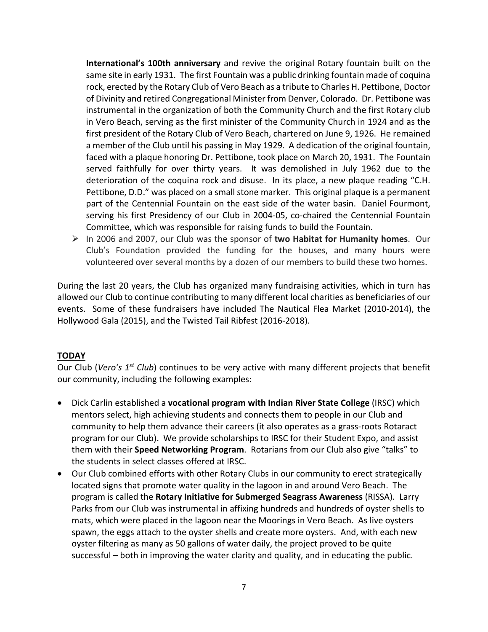**International's 100th anniversary** and revive the original Rotary fountain built on the same site in early 1931. The first Fountain was a public drinking fountain made of coquina rock, erected by the Rotary Club of Vero Beach as a tribute to Charles H. Pettibone, Doctor of Divinity and retired Congregational Minister from Denver, Colorado. Dr. Pettibone was instrumental in the organization of both the Community Church and the first Rotary club in Vero Beach, serving as the first minister of the Community Church in 1924 and as the first president of the Rotary Club of Vero Beach, chartered on June 9, 1926. He remained a member of the Club until his passing in May 1929. A dedication of the original fountain, faced with a plaque honoring Dr. Pettibone, took place on March 20, 1931. The Fountain served faithfully for over thirty years. It was demolished in July 1962 due to the deterioration of the coquina rock and disuse. In its place, a new plaque reading "C.H. Pettibone, D.D." was placed on a small stone marker. This original plaque is a permanent part of the Centennial Fountain on the east side of the water basin. Daniel Fourmont, serving his first Presidency of our Club in 2004-05, co-chaired the Centennial Fountain Committee, which was responsible for raising funds to build the Fountain.

 In 2006 and 2007, our Club was the sponsor of **two Habitat for Humanity homes**. Our Club's Foundation provided the funding for the houses, and many hours were volunteered over several months by a dozen of our members to build these two homes.

During the last 20 years, the Club has organized many fundraising activities, which in turn has allowed our Club to continue contributing to many different local charities as beneficiaries of our events. Some of these fundraisers have included The Nautical Flea Market (2010-2014), the Hollywood Gala (2015), and the Twisted Tail Ribfest (2016-2018).

## **TODAY**

Our Club (*Vero's 1st Club*) continues to be very active with many different projects that benefit our community, including the following examples:

- Dick Carlin established a **vocational program with Indian River State College** (IRSC) which mentors select, high achieving students and connects them to people in our Club and community to help them advance their careers (it also operates as a grass-roots Rotaract program for our Club). We provide scholarships to IRSC for their Student Expo, and assist them with their **Speed Networking Program**. Rotarians from our Club also give "talks" to the students in select classes offered at IRSC.
- Our Club combined efforts with other Rotary Clubs in our community to erect strategically located signs that promote water quality in the lagoon in and around Vero Beach. The program is called the **Rotary Initiative for Submerged Seagrass Awareness** (RISSA). Larry Parks from our Club was instrumental in affixing hundreds and hundreds of oyster shells to mats, which were placed in the lagoon near the Moorings in Vero Beach. As live oysters spawn, the eggs attach to the oyster shells and create more oysters. And, with each new oyster filtering as many as 50 gallons of water daily, the project proved to be quite successful – both in improving the water clarity and quality, and in educating the public.